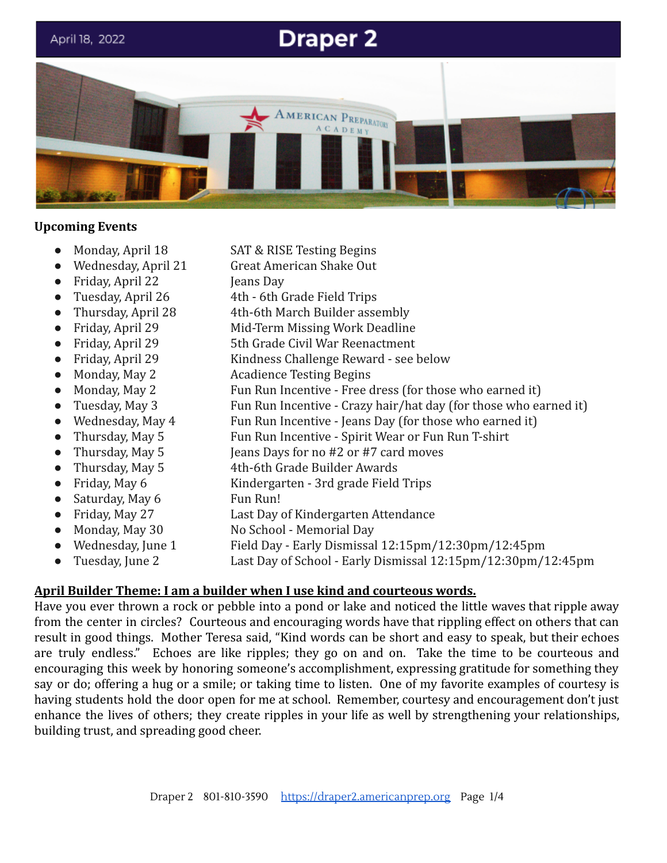

#### **Upcoming Events**

- 
- 
- Friday, April 22 **Jeans Day**
- 
- 
- 
- 
- 
- 
- 
- 
- 
- 
- 
- 
- 
- 
- 
- 
- 
- 
- Monday, April 18 SAT & RISE Testing Begins
- Wednesday, April 21 Great American Shake Out
	-
- Tuesday, April 26 4th 6th Grade Field Trips
	- Thursday, April 28 4th-6th March Builder assembly
- Friday, April 29 Mid-Term Missing Work Deadline
- Friday, April 29 5th Grade Civil War Reenactment
- Friday, April 29 Kindness Challenge Reward see below
- Monday, May 2 Acadience Testing Begins
- Monday, May 2 Fun Run Incentive Free dress (for those who earned it)
- Tuesday, May 3 Fun Run Incentive Crazy hair/hat day (for those who earned it)
- Wednesday, May 4 Fun Run Incentive Jeans Day (for those who earned it)
- Thursday, May 5 Fun Run Incentive Spirit Wear or Fun Run T-shirt
- Thursday, May 5 Jeans Days for no #2 or #7 card moves
- Thursday, May 5 4th-6th Grade Builder Awards
- Friday, May 6 Kindergarten 3rd grade Field Trips
- Saturday, May 6 Fun Run!
- Friday, May 27 Last Day of Kindergarten Attendance
- Monday, May 30 No School Memorial Day
- Wednesday, June 1 Field Day Early Dismissal 12:15pm/12:30pm/12:45pm
	- Tuesday, June 2 Last Day of School Early Dismissal 12:15pm/12:30pm/12:45pm

#### **April Builder Theme: I am a builder when I use kind and courteous words.**

Have you ever thrown a rock or pebble into a pond or lake and noticed the little waves that ripple away from the center in circles? Courteous and encouraging words have that rippling effect on others that can result in good things. Mother Teresa said, "Kind words can be short and easy to speak, but their echoes are truly endless." Echoes are like ripples; they go on and on. Take the time to be courteous and encouraging this week by honoring someone's accomplishment, expressing gratitude for something they say or do; offering a hug or a smile; or taking time to listen. One of my favorite examples of courtesy is having students hold the door open for me at school. Remember, courtesy and encouragement don't just enhance the lives of others; they create ripples in your life as well by strengthening your relationships, building trust, and spreading good cheer.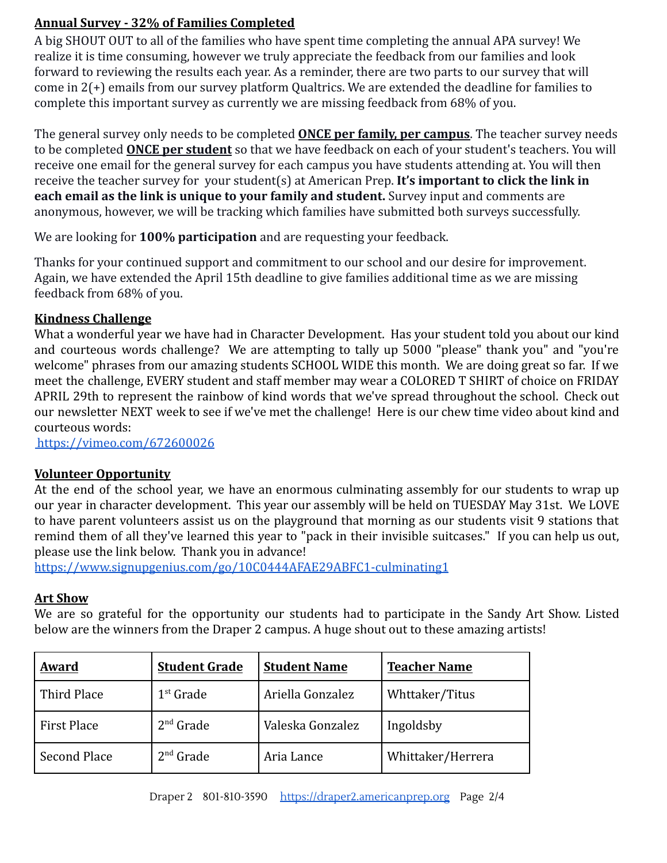## **Annual Survey - 32% of Families Completed**

A big SHOUT OUT to all of the families who have spent time completing the annual APA survey! We realize it is time consuming, however we truly appreciate the feedback from our families and look forward to reviewing the results each year. As a reminder, there are two parts to our survey that will come in 2(+) emails from our survey platform Qualtrics. We are extended the deadline for families to complete this important survey as currently we are missing feedback from 68% of you.

The general survey only needs to be completed **ONCE per family, per campus**. The teacher survey needs to be completed **ONCE per student** so that we have feedback on each of your student's teachers. You will receive one email for the general survey for each campus you have students attending at. You will then receive the teacher survey for your student(s) at American Prep. **It's important to click the link in each email as the link is unique to your family and student.** Survey input and comments are anonymous, however, we will be tracking which families have submitted both surveys successfully.

We are looking for **100% participation** and are requesting your feedback.

Thanks for your continued support and commitment to our school and our desire for improvement. Again, we have extended the April 15th deadline to give families additional time as we are missing feedback from 68% of you.

## **Kindness Challenge**

What a wonderful year we have had in Character Development. Has your student told you about our kind and courteous words challenge? We are attempting to tally up 5000 "please" thank you" and "you're welcome" phrases from our amazing students SCHOOL WIDE this month. We are doing great so far. If we meet the challenge, EVERY student and staff member may wear a COLORED T SHIRT of choice on FRIDAY APRIL 29th to represent the rainbow of kind words that we've spread throughout the school. Check out our newsletter NEXT week to see if we've met the challenge! Here is our chew time video about kind and courteous words:

<https://vimeo.com/672600026>

# **Volunteer Opportunity**

At the end of the school year, we have an enormous culminating assembly for our students to wrap up our year in character development. This year our assembly will be held on TUESDAY May 31st. We LOVE to have parent volunteers assist us on the playground that morning as our students visit 9 stations that remind them of all they've learned this year to "pack in their invisible suitcases." If you can help us out, please use the link below. Thank you in advance!

<https://www.signupgenius.com/go/10C0444AFAE29ABFC1-culminating1>

### **Art Show**

We are so grateful for the opportunity our students had to participate in the Sandy Art Show. Listed below are the winners from the Draper 2 campus. A huge shout out to these amazing artists!

| Award              | <b>Student Grade</b> | <b>Student Name</b> | <b>Teacher Name</b> |
|--------------------|----------------------|---------------------|---------------------|
| Third Place        | $1st$ Grade          | Ariella Gonzalez    | Whttaker/Titus      |
| <b>First Place</b> | $2nd$ Grade          | Valeska Gonzalez    | Ingoldsby           |
| Second Place       | $2nd$ Grade          | Aria Lance          | Whittaker/Herrera   |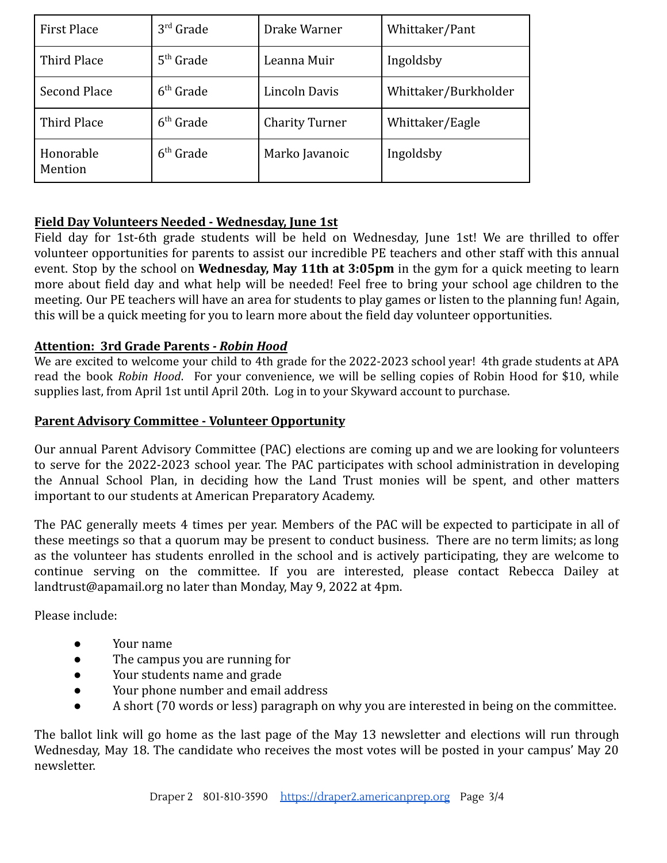| <b>First Place</b>   | $3rd$ Grade | Drake Warner          | Whittaker/Pant       |
|----------------------|-------------|-----------------------|----------------------|
| Third Place          | $5th$ Grade | Leanna Muir           | Ingoldsby            |
| <b>Second Place</b>  | $6th$ Grade | Lincoln Davis         | Whittaker/Burkholder |
| Third Place          | $6th$ Grade | <b>Charity Turner</b> | Whittaker/Eagle      |
| Honorable<br>Mention | $6th$ Grade | Marko Javanoic        | Ingoldsby            |

### **Field Day Volunteers Needed - Wednesday, June 1st**

Field day for 1st-6th grade students will be held on Wednesday, June 1st! We are thrilled to offer volunteer opportunities for parents to assist our incredible PE teachers and other staff with this annual event. Stop by the school on **Wednesday, May 11th at 3:05pm** in the gym for a quick meeting to learn more about field day and what help will be needed! Feel free to bring your school age children to the meeting. Our PE teachers will have an area for students to play games or listen to the planning fun! Again, this will be a quick meeting for you to learn more about the field day volunteer opportunities.

### **Attention: 3rd Grade Parents** *- Robin Hood*

We are excited to welcome your child to 4th grade for the 2022-2023 school year! 4th grade students at APA read the book *Robin Hood*. For your convenience, we will be selling copies of Robin Hood for \$10, while supplies last, from April 1st until April 20th. Log in to your Skyward account to purchase.

#### **Parent Advisory Committee - Volunteer Opportunity**

Our annual Parent Advisory Committee (PAC) elections are coming up and we are looking for volunteers to serve for the 2022-2023 school year. The PAC participates with school administration in developing the Annual School Plan, in deciding how the Land Trust monies will be spent, and other matters important to our students at American Preparatory Academy.

The PAC generally meets 4 times per year. Members of the PAC will be expected to participate in all of these meetings so that a quorum may be present to conduct business. There are no term limits; as long as the volunteer has students enrolled in the school and is actively participating, they are welcome to continue serving on the committee. If you are interested, please contact Rebecca Dailey at landtrust@apamail.org no later than Monday, May 9, 2022 at 4pm.

Please include:

- Your name
- The campus you are running for
- Your students name and grade
- Your phone number and email address
- A short (70 words or less) paragraph on why you are interested in being on the committee.

The ballot link will go home as the last page of the May 13 newsletter and elections will run through Wednesday, May 18. The candidate who receives the most votes will be posted in your campus' May 20 newsletter.